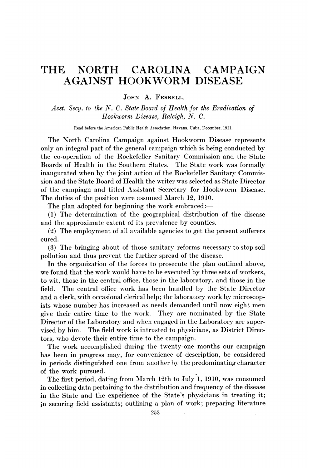## THE NORTH CAROLINA CAMPAIGN AGAINST HOOKWORM DISEASE

JOHN A. FERRELL,

Asst. Secy. to the N. C. State Board of Health for the Eradication of Hookworm Disease, Raleigh, N. C.

Read before the American Public Health Association, Havana, Ciiba, December. 1911.

The North Carolina Campaign against Hookworm Disease represents only an integral part of the general campaign which is being conducted by the co-operation of the Rockefeller Sanitary Commission and the State Boards of Health in the Southern States. The State work was formally inaugurated when by the joint action of the Rockefeller Sanitary Commission and the State Board of Health the writer was selected as State Director of the campiagn and titled Assistant Secretary for Hookworm Disease. The duties of the position were assumed March 12, 1910.

The plan adopted for beginning the work embraced: $-$ 

(1) The determination of the geographical distribution of the disease and the approximate extent of its prevalence by counties.

(92) The employment of all available agencies to get the present sufferers cured.

(3) The bringing about of those sanitary reforms necessary to stop soil pollution and thus prevent the further spread of the disease.

In the organization of the forces to prosecute the plan outlined above, we found that the work would have to be executed by three sets of workers, to wit, those in the central office, those in the laboratory, and those in the field. The central office work has been handled by the State Director and a clerk, with occasional clerical help; the laboratory work by microscopists whose number has increased as needs demanded until now eight men give their entire time to the work. They are nominated by the State Director of the Laboratory and when engaged in the Laboratory are supervised by him. The field work is intrusted to phvsicians, as District Directors, who devote their entire time to the campaign.

The work accomplished during the twenty-one months our campaign has been in progress may, for convenience of description, be considered in periods distinguished one from another by the predominating character of the work pursued.

The first period, dating from March 12th to July 1, 1910, was consumed in collecting data pertaining to the distribution and frequency of the disease in the State and the experience of the State's physicians in treating it; in securing field assistants; outlining a plan of work; preparing literature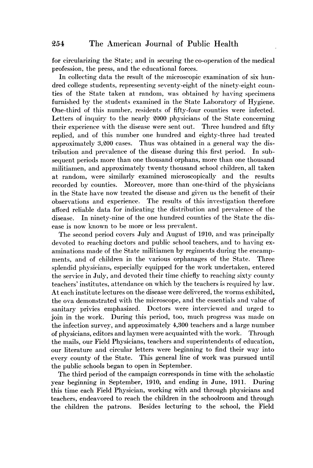for circularizing the State; and in securing the co-operation of the medical profession, the press, and the educational forces.

In collecting data the result of the microscopic examination of six hundred college students, representing seventy-eight of the ninety-eight counties of the State taken at random, was obtained by having specimens furnished by the students examined in the State Laboratory of Hygiene. One-third of this number, residents of fifty-four counties were infected. Letters of inquiry to the nearly 2000 physicians of the State concerning their experience with the disease were sent out. Three hundred and fifty replied, and of this number one hundred and eighty-three had treated approximately 3,200 cases. Thus was obtained in a general way the distribution and prevalence of the disease during this first period. In subsequent periods more than one thousand orphans, more than one thousand militiamen, and approximately twenty thousand school children, all taken at random, were similarly examined microscopically and the results recorded by counties. Moreover, more than one-third of the physicians in the State have now treated the disease and given us the benefit of their observations and experience. The results of this investigation therefore afford reliable data for indicating the distribution and prevalence of the disease. In ninety-nine of the one hundred counties of the State the disease is now known to be more or less prevalent.

The second period covers July and August of 1910, and was principally devoted to reaching doctors and public school teachers, and to having examinations made of the State militiamen by regiments during the encampments, and of children in the various orphanages of the State. Three splendid physicians, especially equipped for the work undertaken, entered the service in July, and devoted their time chiefly to reaching sixty county teachers' institutes, attendance on which by the teachers is required by law. At each institute lectures on the disease were delivered, the worms exhibited, the ova demonstrated with the microscope, and the essentials and value of sanitary privies emphasized. Doctors were interviewed and urged to join in the work. During this period, too, much progress was made on the infection survey, and approximately 4,300 teachers and a large number of physicians, editors and laymen were acquainted with the work. Through the mails, our Field Physicians, teachers and superintendents of education, our literature and circular letters were beginning to find their way into every county of the State. This general line of work was pursued until the public schools began to open in September.

The third period of the campaign corresponds in time with the scholastic year beginning in September, 1910, and ending in June, 1911. During this time each Field Physician, working with and through physicians and teachers, endeavored to reach the children in the schoolroom and through the children the patrons. Besides lecturing to the school, the Field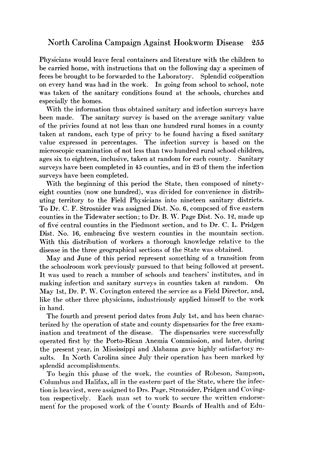Physicians would leave fecal containers and literature with the children to be carried home, with instructions that on the following day a specimen of feces be brought to be forwarded to the Laboratory. Splendid cooperation on every hand was had in the work. In going from school to school, note was taken of the sanitary conditions found at the schools, churches and especially the homes.

With the information thus obtained sanitary and infection surveys have been made. The sanitary survey is based on the average sanitary value of the privies found at not less than one hundred rural homes in a county taken at random, each type of privy to be found having a fixed sanitary value expressed in percentages. The infection survey is based on the microscopic examination of not less than two hundred rural school children, ages six to eighteen, inclusive, taken at random for each county. Sanitary surveys have been completed in 45 counties, and in <sup>923</sup> of them the infection surveys have been completed.

With the beginning of this period the State, then composed of ninetyeight counties (now one hundred), was divided for convenience in distributing territory to the Field Physicians into nineteen sanitary districts. To Dr. C. F. Strosnider was assigned Dist. No. 6, compcsed of five eastern counties in the Tidewater section; to Dr. B. W. Page Dist. No. 12, made up of five central counties in the Piedmont section, and to Dr. C. L. Pridgen Dist. No. 16, embracing five western counties in the mountain section. With this distribution of workers a thorough knowledge relative to the disease in the three geographical sections of the State was obtained.

May and June of this period represent something of <sup>a</sup> transition from the schoolroom work previously pursued to that being followed at present. It was used to reach a number of schools and teachers' institutes, and in making infection and sanitary surveys in counties taken at random. May 1st, Dr. P. W. Covington entered the service as <sup>a</sup> Field Director, and, like the other three physicians, industriously, applied himself to the work in hand.

The fourth and present period dates from July 1st, and has been characterized by the operation of state and county dispensaries for the free examination and treatment of the disease. The dispensaries were successfully operated first by the Porto-Rican Anemia Commission, and later, during the present year, in Mississippi and Alabama gave highly satisfactory results. In North Carolina since July their operation has been marked by splendid accomplishments.

To begin this phase of the work, the counties of Robeson, Sampson, Columbus and Halifax, all in the eastern part of the State, where the infection is heaviest, were assigned to Drs. Page, Stronsider, Pridgen and Covington respectively. Each man set to work to secure the written endorsement for the proposed work of the County Boards of Health and of Edu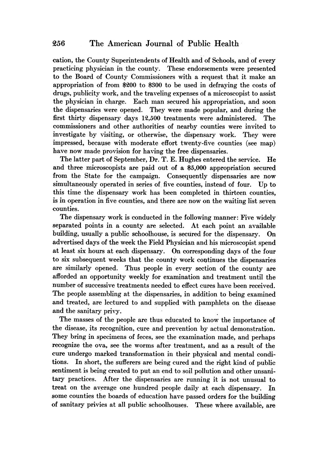cation, the County Superintendents of Health and of Schools, and of every practicing physician in the county. These endorsements were presented to the Board of County Commissioners with a request that it make an appropriation of from \$200 to \$300 to be used in defraying the costs of drugs, publicity work, and the traveling expenses of a microscopist to assist the physician in charge. Each man secured his appropriation, and soon the dispensaries were opened. They were made popular, and during the first thirty dispensary days 12,500 treatments were administered. The commissioners and other authorities of nearby counties were invited to investigate by visiting, or otherwise, the dispensary work. They were impressed, because with moderate effort twenty-five counties (see map) have now made provision for having the free dispensaries.

The latter part of September, Dr. T. E. Hughes entered the service. He and three microscopists are paid out of a \$5,000 appropriation secured from the State for the campaign. Consequently dispensaries are now simultaneously operated in series of. five counties, instead of four. Up to this time the dispensary work has been completed in thirteen counties, is in operation in five counties, and there are now on the waiting list seven counties.

The dispensary work is conducted in the following manner: Five widely separated points in a county are selected. At each point an available building, usually a public schoolhouse, is secured for the dispensary. On advertised days of the week the Field Physician and his microscopist spend at least six hours at each dispensary. On corresponding days of the four to six subsequent weeks that the county work continues the dispensaries are similarly opened. Thus people in every section of the county are afforded an opportunity weekly for examination and treatment until the number of successive treatments needed to effect cures have been received. The people assembling at the dispensaries, in addition to being examined and treated, are lectured to and supplied with pamphlets on the disease and the sanitary privy.

The masses of the people are thus educated to know the importance of the disease, its recognition, cure and prevention by actual demonstration. They bring in specimens of feces, see the examination made, and perhaps recognize the ova, see the worms after treatment, and as a result of the cure undergo marked transformation in their physical and mental conditions. In short, the sufferers are being cured and the right kind of public sentiment is being created to put an end to soil pollution and other unsanitary practices. After the dispensaries are running it is not unusual to treat on the average one hundred people daily at each dispensary. In some counties the boards of education have passed orders for the building of sanitary privies at all public schoolhouses. These where available, are